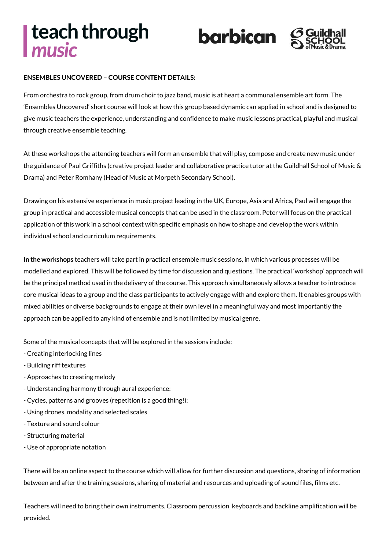## teach through<br>music

## barbican



## **ENSEMBLES UNCOVERED – COURSE CONTENT DETAILS:**

From orchestra to rock group, from drum choir to jazz band, music is at heart a communal ensemble art form. The 'Ensembles Uncovered' short course will look at how this group based dynamic can applied in school and is designed to give music teachers the experience, understanding and confidence to make music lessons practical, playful and musical through creative ensemble teaching.

At these workshops the attending teachers will form an ensemble that will play, compose and create new music under the guidance of Paul Griffiths (creative project leader and collaborative practice tutor at the Guildhall School of Music & Drama) and Peter Romhany (Head of Music at Morpeth Secondary School).

Drawing on his extensive experience in music project leading in the UK, Europe, Asia and Africa, Paul will engage the group in practical and accessible musical concepts that can be used in the classroom. Peter will focus on the practical application of this work in a school context with specific emphasis on how to shape and develop the work within individual school and curriculum requirements.

**In the workshops** teachers will take part in practical ensemble music sessions, in which various processes will be modelled and explored. This will be followed by time for discussion and questions. The practical 'workshop' approach will be the principal method used in the delivery of the course. This approach simultaneously allows a teacher to introduce core musical ideas to a group and the class participants to actively engage with and explore them. It enables groups with mixed abilities or diverse backgrounds to engage at their own level in a meaningful way and most importantly the approach can be applied to any kind of ensemble and is not limited by musical genre.

Some of the musical concepts that will be explored in the sessions include:

- Creating interlocking lines
- Building riff textures
- Approaches to creating melody
- Understanding harmony through aural experience:
- Cycles, patterns and grooves (repetition is a good thing!):
- Using drones, modality and selected scales
- Texture and sound colour
- Structuring material
- Use of appropriate notation

There will be an online aspect to the course which will allow for further discussion and questions, sharing of information between and after the training sessions, sharing of material and resources and uploading of sound files, films etc.

Teachers will need to bring their own instruments. Classroom percussion, keyboards and backline amplification will be provided.